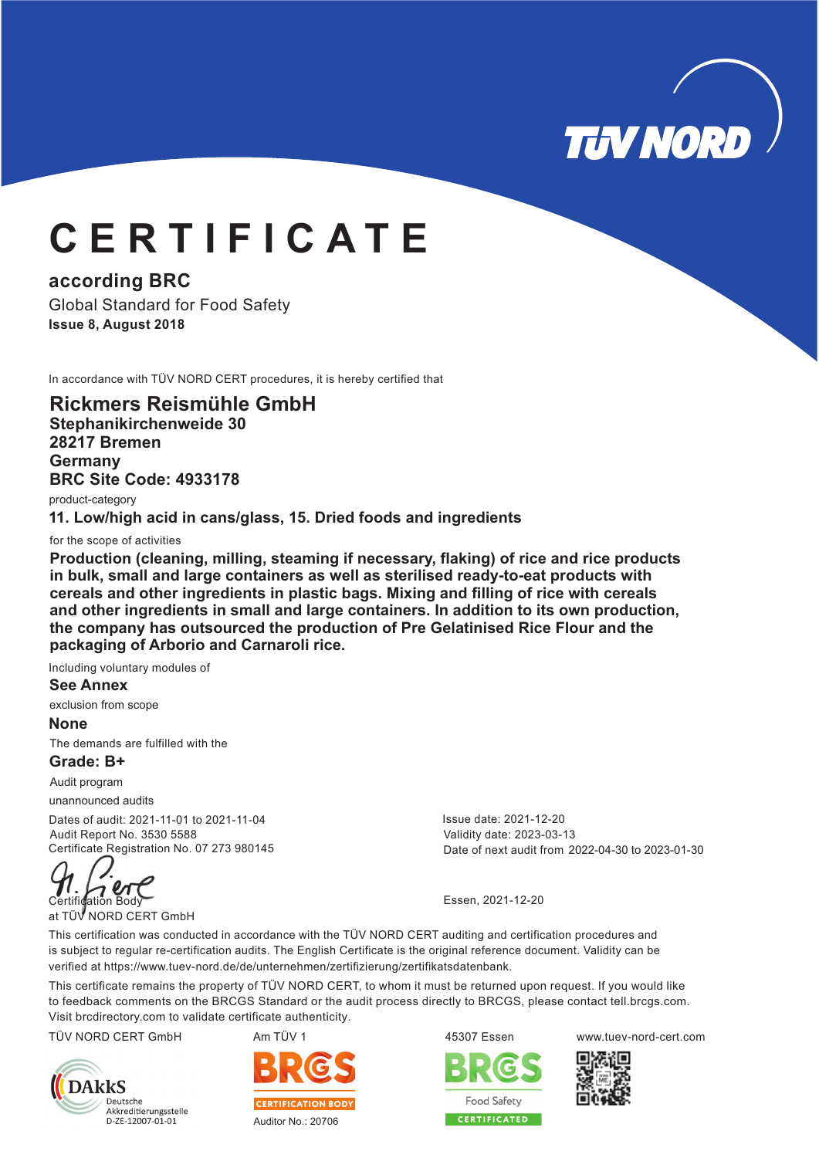

# **C E R T I F I C A T E**

### **according BRC**

Global Standard for Food Safety **Issue 8, August 2018**

In accordance with TÜV NORD CERT procedures, it is hereby certified that

product-category **Rickmers Reismühle GmbH Stephanikirchenweide 30 28217 Bremen Germany BRC Site Code: 4933178**

11. Low/high acid in cans/glass, 15. Dried foods and ingredients

for the scope of activities

**Production (cleaning, milling, steaming if necessary, flaking) of rice and rice products . packaging of Arborio and Carnaroli rice in bulk, small and large containers as well as sterilised ready-to-eat products with cereals and other ingredients in plastic bags. Mixing and filling of rice with cereals and other ingredients in small and large containers. In addition to its own production, the company has outsourced the production of Pre Gelatinised Rice Flour and the**

Including voluntary modules of

#### **See Annex**

exclusion from scope

#### **None**

The demands are fulfilled with the

#### **Grade: B+**

Audit program

unannounced audits

Certificate Registration No. 07 273 980145 Dates of audit: 2021-11-01 to 2021-11-04 Audit Report No. 3530 5588

Validity date: 2023-03-13 Date of next audit from 2022-04-30 to 2023-01-30 Issue date: 2021-12-20

Certification Body

at TÜV NORD CERT GmbH

Essen, 2021-12-20

This certification was conducted in accordance with the TÜV NORD CERT auditing and certification procedures and is subject to regular re-certification audits. The English Certificate is the original reference document. Validity can be verified at https://www.tuev-nord.de/de/unternehmen/zertifizierung/zertifikatsdatenbank.

This certificate remains the property of TÜV NORD CERT, to whom it must be returned upon request. If you would like . to feedback comments on the BRCGS Standard or the audit process directly to BRCGS, please contact tell.brcgs.com Visit brcdirectory.com to validate certificate authenticity.

TÜV NORD CERT GmbH Am TÜV 1 45307 Essen www.tuev-nord-cert.com